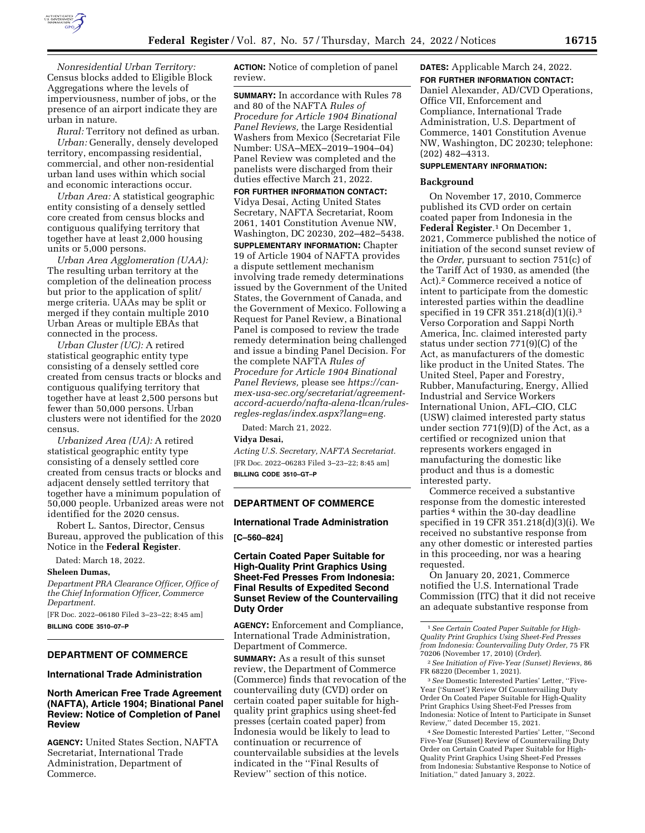

*Nonresidential Urban Territory:*  Census blocks added to Eligible Block Aggregations where the levels of imperviousness, number of jobs, or the presence of an airport indicate they are urban in nature.

*Rural:* Territory not defined as urban. *Urban:* Generally, densely developed territory, encompassing residential, commercial, and other non-residential urban land uses within which social and economic interactions occur.

*Urban Area:* A statistical geographic entity consisting of a densely settled core created from census blocks and contiguous qualifying territory that together have at least 2,000 housing units or 5,000 persons.

*Urban Area Agglomeration (UAA):*  The resulting urban territory at the completion of the delineation process but prior to the application of split/ merge criteria. UAAs may be split or merged if they contain multiple 2010 Urban Areas or multiple EBAs that connected in the process.

*Urban Cluster (UC):* A retired statistical geographic entity type consisting of a densely settled core created from census tracts or blocks and contiguous qualifying territory that together have at least 2,500 persons but fewer than 50,000 persons. Urban clusters were not identified for the 2020 census.

*Urbanized Area (UA):* A retired statistical geographic entity type consisting of a densely settled core created from census tracts or blocks and adjacent densely settled territory that together have a minimum population of 50,000 people. Urbanized areas were not identified for the 2020 census.

Robert L. Santos, Director, Census Bureau, approved the publication of this Notice in the **Federal Register**.

Dated: March 18, 2022.

#### **Sheleen Dumas,**

*Department PRA Clearance Officer, Office of the Chief Information Officer, Commerce Department.* 

[FR Doc. 2022–06180 Filed 3–23–22; 8:45 am] **BILLING CODE 3510–07–P** 

# **DEPARTMENT OF COMMERCE**

#### **International Trade Administration**

# **North American Free Trade Agreement (NAFTA), Article 1904; Binational Panel Review: Notice of Completion of Panel Review**

**AGENCY:** United States Section, NAFTA Secretariat, International Trade Administration, Department of Commerce.

**ACTION:** Notice of completion of panel review.

**SUMMARY:** In accordance with Rules 78 and 80 of the NAFTA *Rules of Procedure for Article 1904 Binational Panel Reviews,* the Large Residential Washers from Mexico (Secretariat File Number: USA–MEX–2019–1904–04) Panel Review was completed and the panelists were discharged from their duties effective March 21, 2022. **FOR FURTHER INFORMATION CONTACT:**  Vidya Desai, Acting United States Secretary, NAFTA Secretariat, Room 2061, 1401 Constitution Avenue NW, Washington, DC 20230, 202–482–5438. **SUPPLEMENTARY INFORMATION:** Chapter 19 of Article 1904 of NAFTA provides a dispute settlement mechanism involving trade remedy determinations issued by the Government of the United States, the Government of Canada, and the Government of Mexico. Following a Request for Panel Review, a Binational Panel is composed to review the trade remedy determination being challenged and issue a binding Panel Decision. For the complete NAFTA *Rules of Procedure for Article 1904 Binational Panel Reviews,* please see *https://canmex-usa-sec.org/secretariat/agreementaccord-acuerdo/nafta-alena-tlcan/rulesregles-reglas/index.aspx?lang=eng.* 

Dated: March 21, 2022.

#### **Vidya Desai,**

*Acting U.S. Secretary, NAFTA Secretariat.*  [FR Doc. 2022–06283 Filed 3–23–22; 8:45 am] **BILLING CODE 3510–GT–P** 

# **DEPARTMENT OF COMMERCE**

## **International Trade Administration**

**[C–560–824]** 

# **Certain Coated Paper Suitable for High-Quality Print Graphics Using Sheet-Fed Presses From Indonesia: Final Results of Expedited Second Sunset Review of the Countervailing Duty Order**

**AGENCY:** Enforcement and Compliance, International Trade Administration, Department of Commerce.

**SUMMARY:** As a result of this sunset review, the Department of Commerce (Commerce) finds that revocation of the countervailing duty (CVD) order on certain coated paper suitable for highquality print graphics using sheet-fed presses (certain coated paper) from Indonesia would be likely to lead to continuation or recurrence of countervailable subsidies at the levels indicated in the ''Final Results of Review'' section of this notice.

# **DATES:** Applicable March 24, 2022.

**FOR FURTHER INFORMATION CONTACT:**  Daniel Alexander, AD/CVD Operations, Office VII, Enforcement and Compliance, International Trade Administration, U.S. Department of Commerce, 1401 Constitution Avenue NW, Washington, DC 20230; telephone: (202) 482–4313.

# **SUPPLEMENTARY INFORMATION:**

#### **Background**

On November 17, 2010, Commerce published its CVD order on certain coated paper from Indonesia in the **Federal Register**.1 On December 1, 2021, Commerce published the notice of initiation of the second sunset review of the *Order,* pursuant to section 751(c) of the Tariff Act of 1930, as amended (the Act).2 Commerce received a notice of intent to participate from the domestic interested parties within the deadline specified in 19 CFR 351.218(d)(1)(i).3 Verso Corporation and Sappi North America, Inc. claimed interested party status under section 771(9)(C) of the Act, as manufacturers of the domestic like product in the United States. The United Steel, Paper and Forestry, Rubber, Manufacturing, Energy, Allied Industrial and Service Workers International Union, AFL–CIO, CLC (USW) claimed interested party status under section 771(9)(D) of the Act, as a certified or recognized union that represents workers engaged in manufacturing the domestic like product and thus is a domestic interested party.

Commerce received a substantive response from the domestic interested parties 4 within the 30-day deadline specified in 19 CFR 351.218(d)(3)(i). We received no substantive response from any other domestic or interested parties in this proceeding, nor was a hearing requested.

On January 20, 2021, Commerce notified the U.S. International Trade Commission (ITC) that it did not receive an adequate substantive response from

3*See* Domestic Interested Parties' Letter, ''Five-Year ('Sunset') Review Of Countervailing Duty Order On Coated Paper Suitable for High-Quality Print Graphics Using Sheet-Fed Presses from Indonesia: Notice of Intent to Participate in Sunset Review,'' dated December 15, 2021.

4*See* Domestic Interested Parties' Letter, ''Second Five-Year (Sunset) Review of Countervailing Duty Order on Certain Coated Paper Suitable for High-Quality Print Graphics Using Sheet-Fed Presses from Indonesia: Substantive Response to Notice of Initiation,'' dated January 3, 2022.

<sup>1</sup>*See Certain Coated Paper Suitable for High-Quality Print Graphics Using Sheet-Fed Presses from Indonesia: Countervailing Duty Order,* 75 FR 70206 (November 17, 2010) (*Order*).

<sup>2</sup>*See Initiation of Five-Year (Sunset) Reviews,* 86 FR 68220 (December 1, 2021).